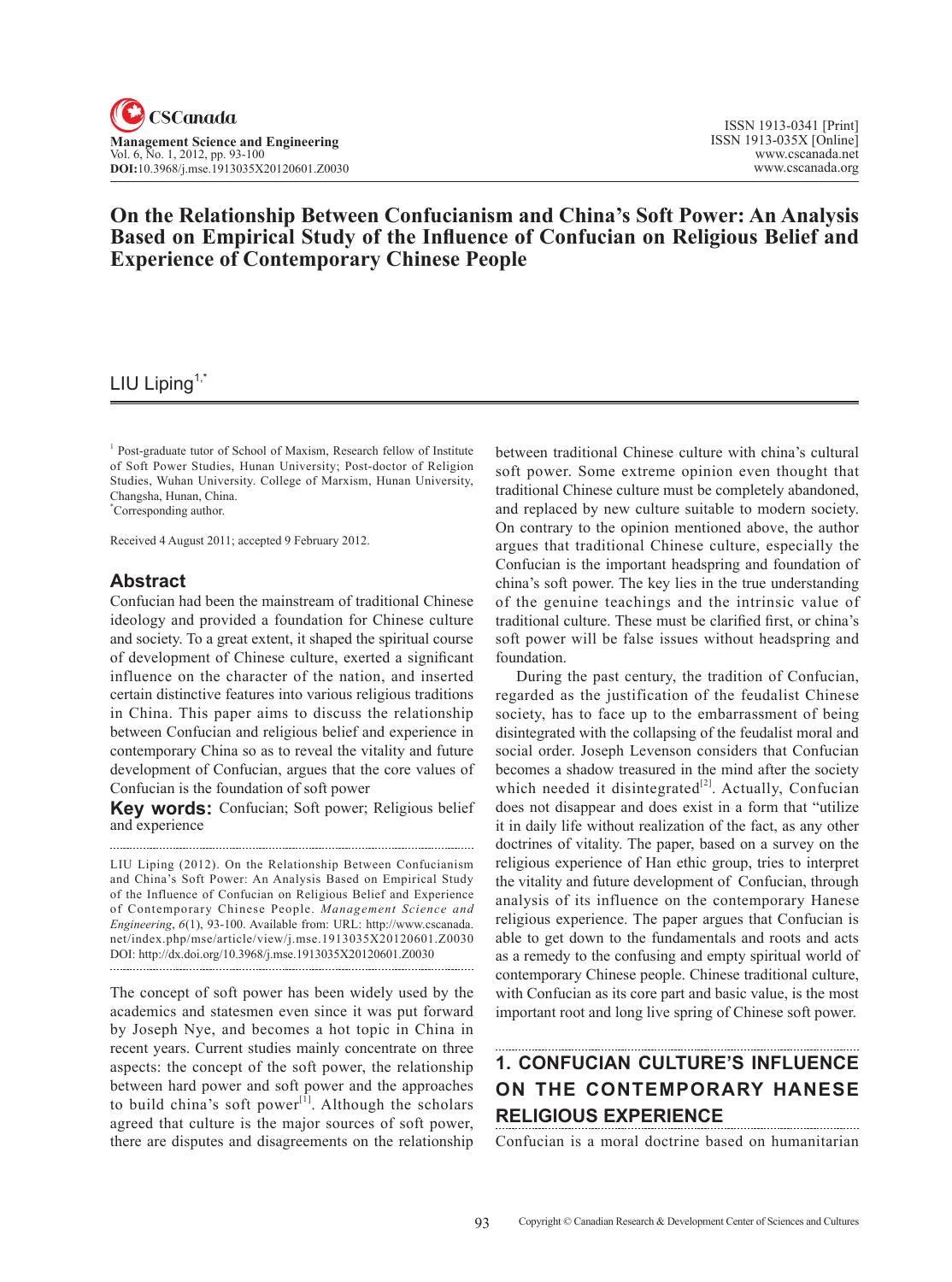# **On the Relationship Between Confucianism and China's Soft Power: An Analysis Based on Empirical Study of the Influence of Confucian on Religious Belief and Experience of Contemporary Chinese People**

# LIU Liping<sup>1,\*</sup>

<sup>1</sup> Post-graduate tutor of School of Maxism, Research fellow of Institute of Soft Power Studies, Hunan University; Post-doctor of Religion Studies, Wuhan University. College of Marxism, Hunan University, Changsha, Hunan, China.

\* Corresponding author.

Received 4 August 2011; accepted 9 February 2012.

### **Abstract**

Confucian had been the mainstream of traditional Chinese ideology and provided a foundation for Chinese culture and society. To a great extent, it shaped the spiritual course of development of Chinese culture, exerted a significant influence on the character of the nation, and inserted certain distinctive features into various religious traditions in China. This paper aims to discuss the relationship between Confucian and religious belief and experience in contemporary China so as to reveal the vitality and future development of Confucian, argues that the core values of Confucian is the foundation of soft power

**Key words:** Confucian; Soft power; Religious belief and experience

LIU Liping (2012). On the Relationship Between Confucianism and China's Soft Power: An Analysis Based on Empirical Study of the Influence of Confucian on Religious Belief and Experience of Contemporary Chinese People. *Management Science and Engineering*, <sup>6</sup>(1), 93-100. Available from: URL: http://www.cscanada. net/index.php/mse/article/view/j.mse.1913035X20120601.Z0030 DOI: http://dx.doi.org/10.3968/j.mse.1913035X20120601.Z0030 

The concept of soft power has been widely used by the academics and statesmen even since it was put forward by Joseph Nye, and becomes a hot topic in China in recent years. Current studies mainly concentrate on three aspects: the concept of the soft power, the relationship between hard power and soft power and the approaches to build china's soft power $[1]$ . Although the scholars agreed that culture is the major sources of soft power, there are disputes and disagreements on the relationship between traditional Chinese culture with china's cultural soft power. Some extreme opinion even thought that traditional Chinese culture must be completely abandoned, and replaced by new culture suitable to modern society. On contrary to the opinion mentioned above, the author argues that traditional Chinese culture, especially the Confucian is the important headspring and foundation of china's soft power. The key lies in the true understanding of the genuine teachings and the intrinsic value of traditional culture. These must be clarified first, or china's soft power will be false issues without headspring and foundation.

During the past century, the tradition of Confucian, regarded as the justification of the feudalist Chinese society, has to face up to the embarrassment of being disintegrated with the collapsing of the feudalist moral and social order. Joseph Levenson considers that Confucian becomes a shadow treasured in the mind after the society which needed it disintegrated $[2]$ . Actually, Confucian does not disappear and does exist in a form that "utilize it in daily life without realization of the fact, as any other doctrines of vitality. The paper, based on a survey on the religious experience of Han ethic group, tries to interpret the vitality and future development of Confucian, through analysis of its influence on the contemporary Hanese religious experience. The paper argues that Confucian is able to get down to the fundamentals and roots and acts as a remedy to the confusing and empty spiritual world of contemporary Chinese people. Chinese traditional culture, with Confucian as its core part and basic value, is the most important root and long live spring of Chinese soft power.

# **1. Confucian culture's influence on the contemporary Hanese religious experience**

Confucian is a moral doctrine based on humanitarian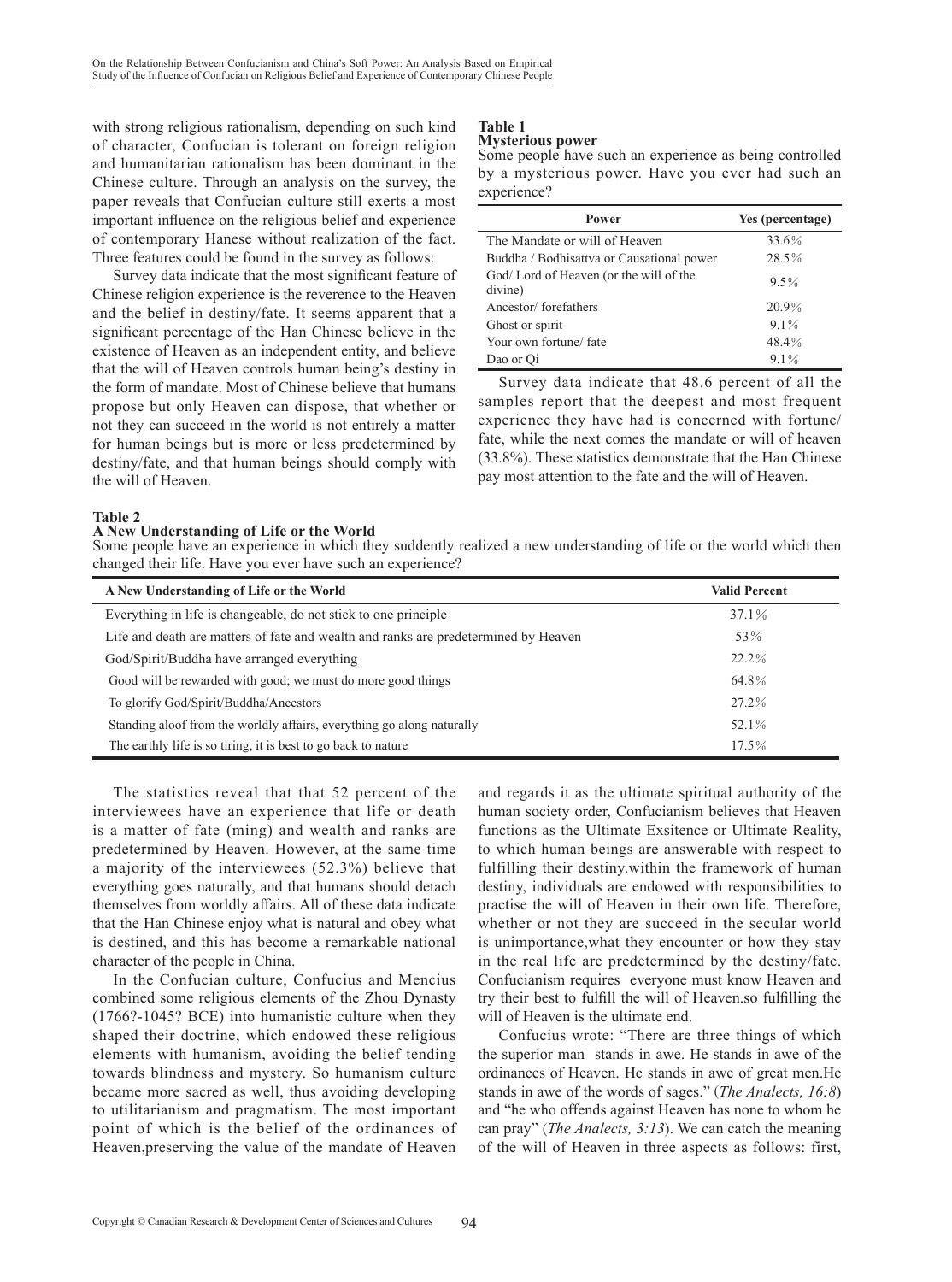with strong religious rationalism, depending on such kind of character, Confucian is tolerant on foreign religion and humanitarian rationalism has been dominant in the Chinese culture. Through an analysis on the survey, the paper reveals that Confucian culture still exerts a most important influence on the religious belief and experience of contemporary Hanese without realization of the fact. Three features could be found in the survey as follows:

Survey data indicate that the most significant feature of Chinese religion experience is the reverence to the Heaven and the belief in destiny/fate. It seems apparent that a significant percentage of the Han Chinese believe in the existence of Heaven as an independent entity, and believe that the will of Heaven controls human being's destiny in the form of mandate. Most of Chinese believe that humans propose but only Heaven can dispose, that whether or not they can succeed in the world is not entirely a matter for human beings but is more or less predetermined by destiny/fate, and that human beings should comply with the will of Heaven.

#### **Table 1 Mysterious power**

Some people have such an experience as being controlled by a mysterious power. Have you ever had such an experience?

| Power                                             | Yes (percentage) |
|---------------------------------------------------|------------------|
| The Mandate or will of Heaven                     | 33.6%            |
| Buddha / Bodhisattva or Causational power         | 28.5%            |
| God/Lord of Heaven (or the will of the<br>divine) | $9.5\%$          |
| Ancestor/forefathers                              | 20.9%            |
| Ghost or spirit                                   | $9.1\%$          |
| Your own fortune/ fate                            | 48.4%            |
| Dao or Oi                                         | $9.1\%$          |

Survey data indicate that 48.6 percent of all the samples report that the deepest and most frequent experience they have had is concerned with fortune/ fate, while the next comes the mandate or will of heaven (33.8%). These statistics demonstrate that the Han Chinese pay most attention to the fate and the will of Heaven.

### **Table 2**

#### **A New Understanding of Life or the World**

Some people have an experience in which they suddently realized a new understanding of life or the world which then changed their life. Have you ever have such an experience?

| A New Understanding of Life or the World                                            | <b>Valid Percent</b> |
|-------------------------------------------------------------------------------------|----------------------|
| Everything in life is changeable, do not stick to one principle                     | 37.1%                |
| Life and death are matters of fate and wealth and ranks are predetermined by Heaven | 53%                  |
| God/Spirit/Buddha have arranged everything                                          | 22.2%                |
| Good will be rewarded with good; we must do more good things                        | 64.8%                |
| To glorify God/Spirit/Buddha/Ancestors                                              | 27.2%                |
| Standing aloof from the worldly affairs, everything go along naturally              | 52.1%                |
| The earthly life is so tiring, it is best to go back to nature                      | 17.5%                |

The statistics reveal that that 52 percent of the interviewees have an experience that life or death is a matter of fate (ming) and wealth and ranks are predetermined by Heaven. However, at the same time a majority of the interviewees (52.3%) believe that everything goes naturally, and that humans should detach themselves from worldly affairs. All of these data indicate that the Han Chinese enjoy what is natural and obey what is destined, and this has become a remarkable national character of the people in China.

In the Confucian culture, Confucius and Mencius combined some religious elements of the Zhou Dynasty (1766?-1045? BCE) into humanistic culture when they shaped their doctrine, which endowed these religious elements with humanism, avoiding the belief tending towards blindness and mystery. So humanism culture became more sacred as well, thus avoiding developing to utilitarianism and pragmatism. The most important point of which is the belief of the ordinances of Heaven,preserving the value of the mandate of Heaven

and regards it as the ultimate spiritual authority of the human society order, Confucianism believes that Heaven functions as the Ultimate Exsitence or Ultimate Reality, to which human beings are answerable with respect to fulfilling their destiny.within the framework of human destiny, individuals are endowed with responsibilities to practise the will of Heaven in their own life. Therefore, whether or not they are succeed in the secular world is unimportance,what they encounter or how they stay in the real life are predetermined by the destiny/fate. Confucianism requires everyone must know Heaven and try their best to fulfill the will of Heaven.so fulfilling the will of Heaven is the ultimate end.

Confucius wrote: "There are three things of which the superior man stands in awe. He stands in awe of the ordinances of Heaven. He stands in awe of great men.He stands in awe of the words of sages." (*The Analects, 16:8*) and "he who offends against Heaven has none to whom he can pray" (*The Analects, 3:13*). We can catch the meaning of the will of Heaven in three aspects as follows: first,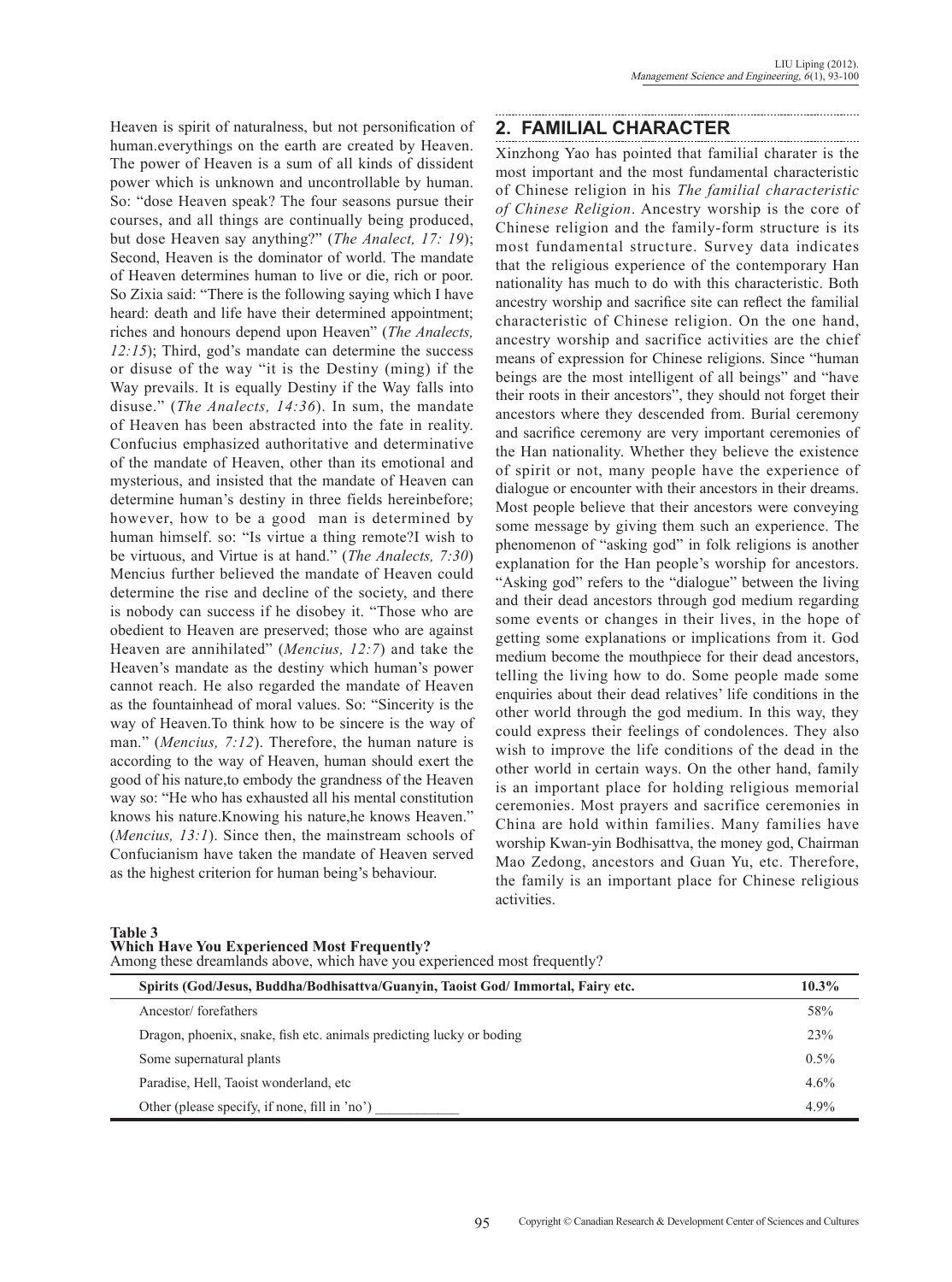Heaven is spirit of naturalness, but not personification of human.everythings on the earth are created by Heaven. The power of Heaven is a sum of all kinds of dissident power which is unknown and uncontrollable by human. So: "dose Heaven speak? The four seasons pursue their courses, and all things are continually being produced, but dose Heaven say anything?" (*The Analect, 17: 19*); Second, Heaven is the dominator of world. The mandate of Heaven determines human to live or die, rich or poor. So Zixia said: "There is the following saying which I have heard: death and life have their determined appointment; riches and honours depend upon Heaven" (*The Analects, 12:15*); Third, god's mandate can determine the success or disuse of the way "it is the Destiny (ming) if the Way prevails. It is equally Destiny if the Way falls into disuse." (*The Analects, 14:36*). In sum, the mandate of Heaven has been abstracted into the fate in reality. Confucius emphasized authoritative and determinative of the mandate of Heaven, other than its emotional and mysterious, and insisted that the mandate of Heaven can determine human's destiny in three fields hereinbefore; however, how to be a good man is determined by human himself. so: "Is virtue a thing remote?I wish to be virtuous, and Virtue is at hand." (*The Analects, 7:30*) Mencius further believed the mandate of Heaven could determine the rise and decline of the society, and there is nobody can success if he disobey it. "Those who are obedient to Heaven are preserved; those who are against Heaven are annihilated" (*Mencius, 12:7*) and take the Heaven's mandate as the destiny which human's power cannot reach. He also regarded the mandate of Heaven as the fountainhead of moral values. So: "Sincerity is the way of Heaven.To think how to be sincere is the way of man." (*Mencius, 7:12*). Therefore, the human nature is according to the way of Heaven, human should exert the good of his nature,to embody the grandness of the Heaven way so: "He who has exhausted all his mental constitution knows his nature.Knowing his nature,he knows Heaven." (*Mencius, 13:1*). Since then, the mainstream schools of Confucianism have taken the mandate of Heaven served as the highest criterion for human being's behaviour.

# **2. Familial Character**

Xinzhong Yao has pointed that familial charater is the most important and the most fundamental characteristic of Chinese religion in his *The familial characteristic of Chinese Religion*. Ancestry worship is the core of Chinese religion and the family-form structure is its most fundamental structure. Survey data indicates that the religious experience of the contemporary Han nationality has much to do with this characteristic. Both ancestry worship and sacrifice site can reflect the familial characteristic of Chinese religion. On the one hand, ancestry worship and sacrifice activities are the chief means of expression for Chinese religions. Since "human beings are the most intelligent of all beings" and "have their roots in their ancestors", they should not forget their ancestors where they descended from. Burial ceremony and sacrifice ceremony are very important ceremonies of the Han nationality. Whether they believe the existence of spirit or not, many people have the experience of dialogue or encounter with their ancestors in their dreams. Most people believe that their ancestors were conveying some message by giving them such an experience. The phenomenon of "asking god" in folk religions is another explanation for the Han people's worship for ancestors. "Asking god" refers to the "dialogue" between the living and their dead ancestors through god medium regarding some events or changes in their lives, in the hope of getting some explanations or implications from it. God medium become the mouthpiece for their dead ancestors, telling the living how to do. Some people made some enquiries about their dead relatives' life conditions in the other world through the god medium. In this way, they could express their feelings of condolences. They also wish to improve the life conditions of the dead in the other world in certain ways. On the other hand, family is an important place for holding religious memorial ceremonies. Most prayers and sacrifice ceremonies in China are hold within families. Many families have worship Kwan-yin Bodhisattva, the money god, Chairman Mao Zedong, ancestors and Guan Yu, etc. Therefore, the family is an important place for Chinese religious activities.

| Among these dreamlands above, which have you experienced most frequently?        |         |  |  |  |
|----------------------------------------------------------------------------------|---------|--|--|--|
| Spirits (God/Jesus, Buddha/Bodhisattva/Guanyin, Taoist God/ Immortal, Fairy etc. |         |  |  |  |
| Ancestor/forefathers                                                             | 58%     |  |  |  |
| Dragon, phoenix, snake, fish etc. animals predicting lucky or boding             | 23%     |  |  |  |
| Some supernatural plants                                                         | $0.5\%$ |  |  |  |
| Paradise, Hell, Taoist wonderland, etc.                                          | $4.6\%$ |  |  |  |
| Other (please specify, if none, fill in 'no')                                    | 4.9%    |  |  |  |

**Table 3 Which Have You Experienced Most Frequently?**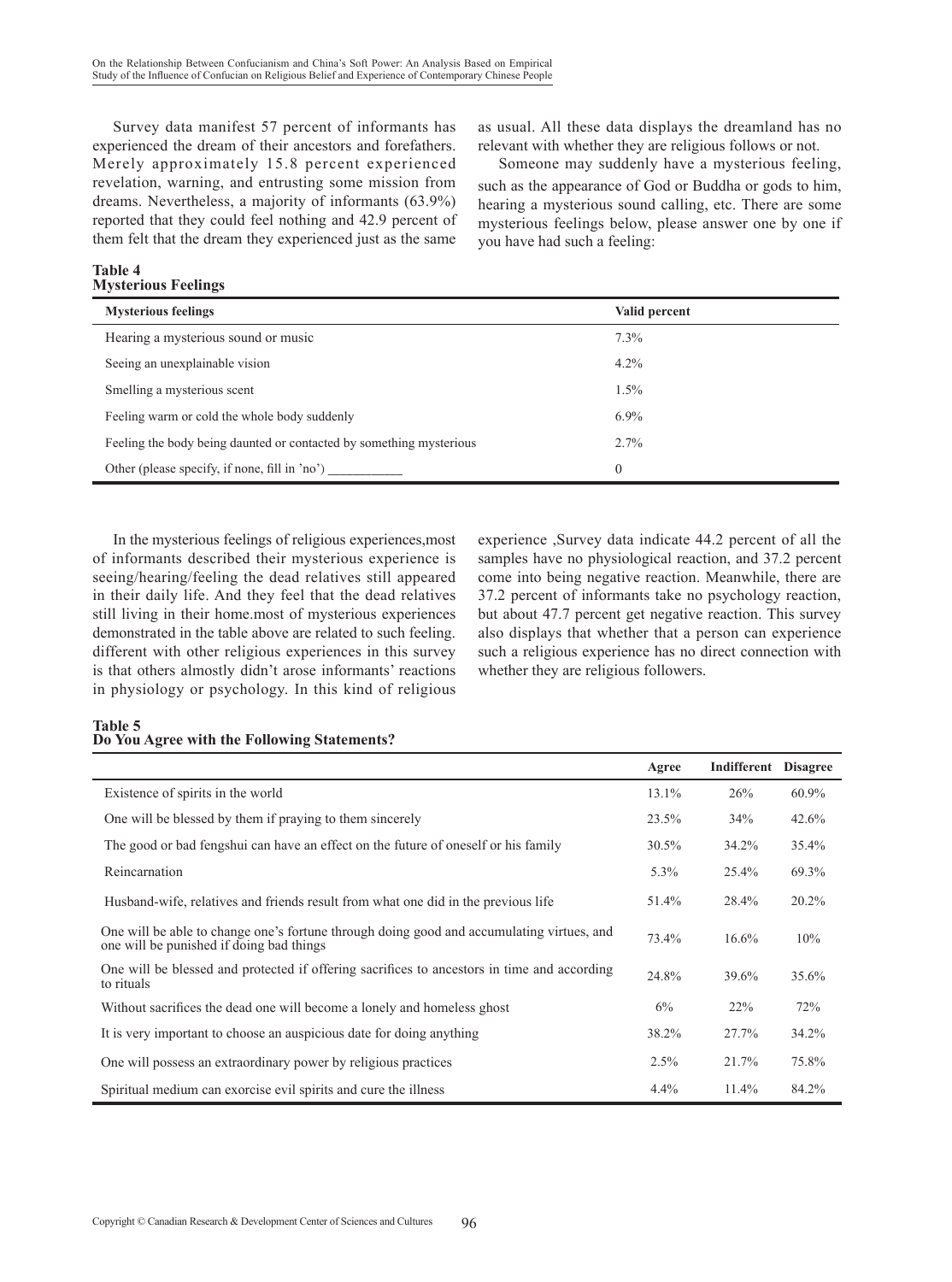Survey data manifest 57 percent of informants has experienced the dream of their ancestors and forefathers. Merely approximately 15.8 percent experienced revelation, warning, and entrusting some mission from dreams. Nevertheless, a majority of informants (63.9%) reported that they could feel nothing and 42.9 percent of them felt that the dream they experienced just as the same

#### **Table 4 Mysterious Feelings**

as usual. All these data displays the dreamland has no relevant with whether they are religious follows or not.

Someone may suddenly have a mysterious feeling, such as the appearance of God or Buddha or gods to him, hearing a mysterious sound calling, etc. There are some mysterious feelings below, please answer one by one if you have had such a feeling:

| <b>Mysterious feelings</b>                                          | Valid percent  |
|---------------------------------------------------------------------|----------------|
| Hearing a mysterious sound or music                                 | $7.3\%$        |
| Seeing an unexplainable vision                                      | $4.2\%$        |
| Smelling a mysterious scent                                         | $1.5\%$        |
| Feeling warm or cold the whole body suddenly                        | $6.9\%$        |
| Feeling the body being daunted or contacted by something mysterious | 2.7%           |
| Other (please specify, if none, fill in 'no')                       | $\overline{0}$ |

In the mysterious feelings of religious experiences,most of informants described their mysterious experience is seeing/hearing/feeling the dead relatives still appeared in their daily life. And they feel that the dead relatives still living in their home.most of mysterious experiences demonstrated in the table above are related to such feeling. different with other religious experiences in this survey is that others almostly didn't arose informants' reactions in physiology or psychology. In this kind of religious experience ,Survey data indicate 44.2 percent of all the samples have no physiological reaction, and 37.2 percent come into being negative reaction. Meanwhile, there are 37.2 percent of informants take no psychology reaction, but about 47.7 percent get negative reaction. This survey also displays that whether that a person can experience such a religious experience has no direct connection with whether they are religious followers.

#### **Table 5 Do You Agree with the Following Statements?**

|                                                                                                                                       | Agree    | Indifferent | <b>Disagree</b> |
|---------------------------------------------------------------------------------------------------------------------------------------|----------|-------------|-----------------|
| Existence of spirits in the world                                                                                                     | 13.1%    | 26%         | 60.9%           |
| One will be blessed by them if praying to them sincerely                                                                              | 23.5%    | 34%         | 42.6%           |
| The good or bad fengshui can have an effect on the future of oneself or his family                                                    | $30.5\%$ | 34.2%       | 35.4%           |
| Reincarnation                                                                                                                         | $5.3\%$  | 25.4%       | 69.3%           |
| Husband-wife, relatives and friends result from what one did in the previous life                                                     | 51.4%    | 28.4%       | 20.2%           |
| One will be able to change one's fortune through doing good and accumulating virtues, and<br>one will be punished if doing bad things | 73.4%    | $16.6\%$    | 10%             |
| One will be blessed and protected if offering sacrifices to ancestors in time and according<br>to rituals                             | 24.8%    | 39.6%       | 35.6%           |
| Without sacrifices the dead one will become a lonely and homeless ghost                                                               | 6%       | 22%         | 72%             |
| It is very important to choose an auspicious date for doing anything                                                                  | 38.2%    | 27.7%       | 34.2%           |
| One will possess an extraordinary power by religious practices                                                                        | 2.5%     | 21.7%       | 75.8%           |
| Spiritual medium can exorcise evil spirits and cure the illness                                                                       | $4.4\%$  | $11.4\%$    | 84.2%           |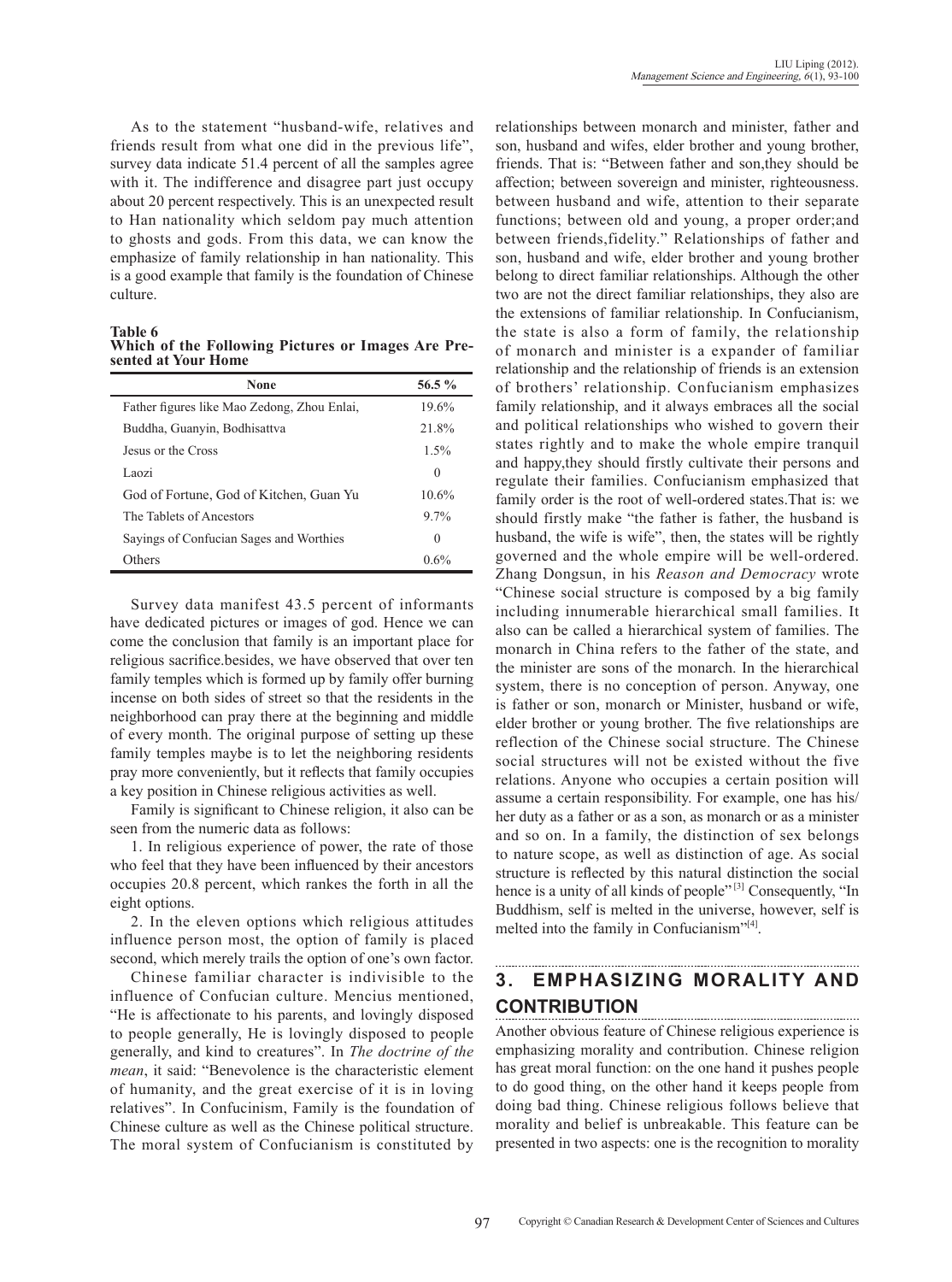As to the statement "husband-wife, relatives and friends result from what one did in the previous life", survey data indicate 51.4 percent of all the samples agree with it. The indifference and disagree part just occupy about 20 percent respectively. This is an unexpected result to Han nationality which seldom pay much attention to ghosts and gods. From this data, we can know the emphasize of family relationship in han nationality. This is a good example that family is the foundation of Chinese culture.

**Table 6**

**Which of the Following Pictures or Images Are Pre- sented at Your Home**

| None                                        | 56.5 $%$ |
|---------------------------------------------|----------|
| Father figures like Mao Zedong, Zhou Enlai, | 19.6%    |
| Buddha, Guanyin, Bodhisattva                | 21.8%    |
| Jesus or the Cross                          | 1.5%     |
| Laozi                                       | $\Omega$ |
| God of Fortune, God of Kitchen, Guan Yu     | 10.6%    |
| The Tablets of Ancestors                    | $9.7\%$  |
| Sayings of Confucian Sages and Worthies     | $\Omega$ |
| Others                                      | 0.6%     |

Survey data manifest 43.5 percent of informants have dedicated pictures or images of god. Hence we can come the conclusion that family is an important place for religious sacrifice.besides, we have observed that over ten family temples which is formed up by family offer burning incense on both sides of street so that the residents in the neighborhood can pray there at the beginning and middle of every month. The original purpose of setting up these family temples maybe is to let the neighboring residents pray more conveniently, but it reflects that family occupies a key position in Chinese religious activities as well.

Family is significant to Chinese religion, it also can be seen from the numeric data as follows:

1. In religious experience of power, the rate of those who feel that they have been influenced by their ancestors occupies 20.8 percent, which rankes the forth in all the eight options.

2. In the eleven options which religious attitudes influence person most, the option of family is placed second, which merely trails the option of one's own factor.

Chinese familiar character is indivisible to the influence of Confucian culture. Mencius mentioned, "He is affectionate to his parents, and lovingly disposed to people generally, He is lovingly disposed to people generally, and kind to creatures". In *The doctrine of the mean*, it said: "Benevolence is the characteristic element of humanity, and the great exercise of it is in loving relatives". In Confucinism, Family is the foundation of Chinese culture as well as the Chinese political structure. The moral system of Confucianism is constituted by

relationships between monarch and minister, father and son, husband and wifes, elder brother and young brother, friends. That is: "Between father and son,they should be affection; between sovereign and minister, righteousness. between husband and wife, attention to their separate functions; between old and young, a proper order;and between friends,fidelity." Relationships of father and son, husband and wife, elder brother and young brother belong to direct familiar relationships. Although the other two are not the direct familiar relationships, they also are the extensions of familiar relationship. In Confucianism, the state is also a form of family, the relationship of monarch and minister is a expander of familiar relationship and the relationship of friends is an extension of brothers' relationship. Confucianism emphasizes family relationship, and it always embraces all the social and political relationships who wished to govern their states rightly and to make the whole empire tranquil and happy,they should firstly cultivate their persons and regulate their families. Confucianism emphasized that family order is the root of well-ordered states.That is: we should firstly make "the father is father, the husband is husband, the wife is wife", then, the states will be rightly governed and the whole empire will be well-ordered. Zhang Dongsun, in his *Reason and Democracy* wrote "Chinese social structure is composed by a big family including innumerable hierarchical small families. It also can be called a hierarchical system of families. The monarch in China refers to the father of the state, and the minister are sons of the monarch. In the hierarchical system, there is no conception of person. Anyway, one is father or son, monarch or Minister, husband or wife, elder brother or young brother. The five relationships are reflection of the Chinese social structure. The Chinese social structures will not be existed without the five relations. Anyone who occupies a certain position will assume a certain responsibility. For example, one has his/ her duty as a father or as a son, as monarch or as a minister and so on. In a family, the distinction of sex belongs to nature scope, as well as distinction of age. As social structure is reflected by this natural distinction the social hence is a unity of all kinds of people"<sup>[3]</sup> Consequently, "In Buddhism, self is melted in the universe, however, self is melted into the family in Confucianism"[4].

### **3. Emphasizing morality and contribution**

Another obvious feature of Chinese religious experience is emphasizing morality and contribution. Chinese religion has great moral function: on the one hand it pushes people to do good thing, on the other hand it keeps people from doing bad thing. Chinese religious follows believe that morality and belief is unbreakable. This feature can be presented in two aspects: one is the recognition to morality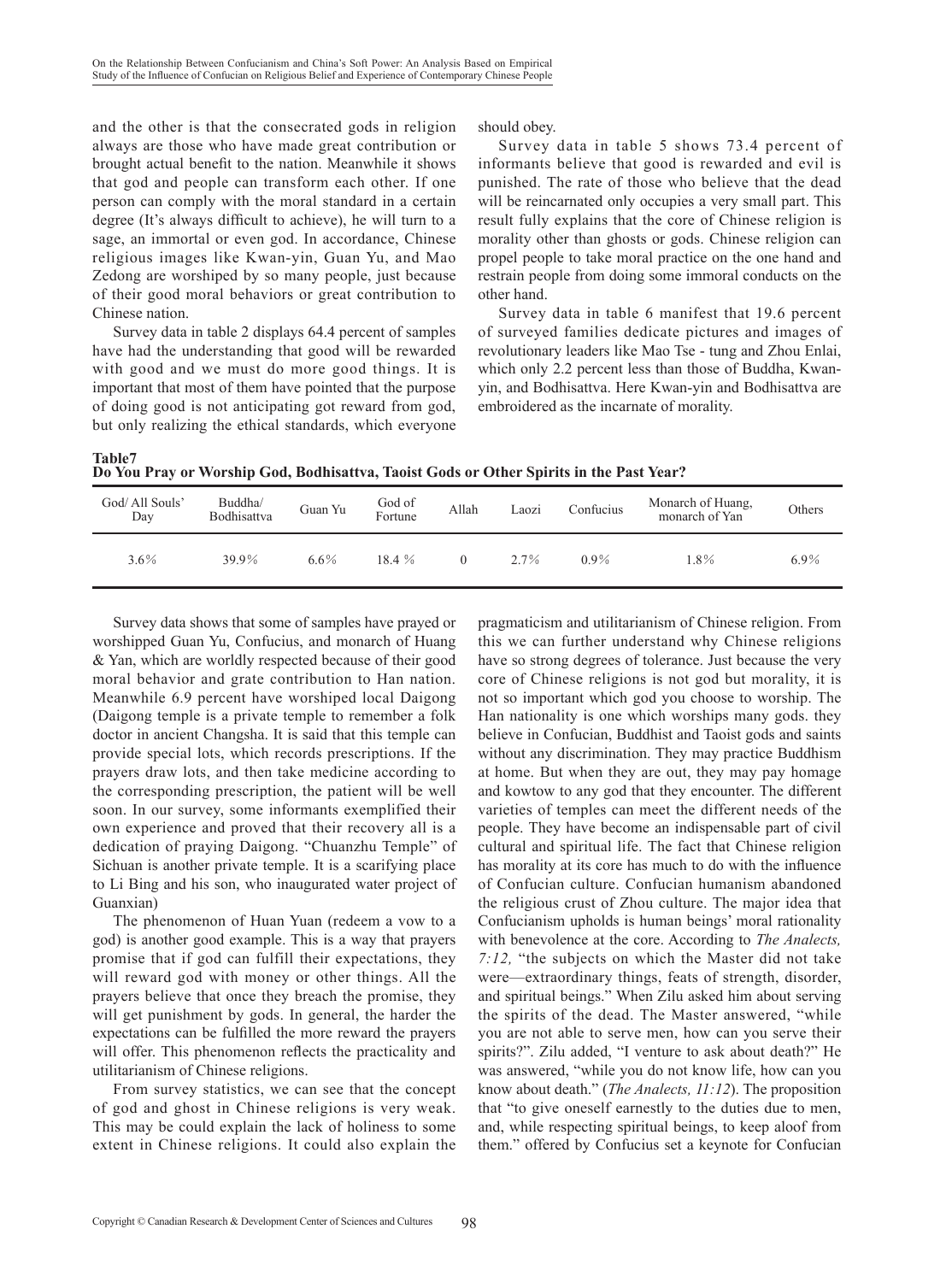and the other is that the consecrated gods in religion always are those who have made great contribution or brought actual benefit to the nation. Meanwhile it shows that god and people can transform each other. If one person can comply with the moral standard in a certain degree (It's always difficult to achieve), he will turn to a sage, an immortal or even god. In accordance, Chinese religious images like Kwan-yin, Guan Yu, and Mao Zedong are worshiped by so many people, just because of their good moral behaviors or great contribution to Chinese nation.

Survey data in table 2 displays 64.4 percent of samples have had the understanding that good will be rewarded with good and we must do more good things. It is important that most of them have pointed that the purpose of doing good is not anticipating got reward from god, but only realizing the ethical standards, which everyone should obey.

Survey data in table 5 shows 73.4 percent of informants believe that good is rewarded and evil is punished. The rate of those who believe that the dead will be reincarnated only occupies a very small part. This result fully explains that the core of Chinese religion is morality other than ghosts or gods. Chinese religion can propel people to take moral practice on the one hand and restrain people from doing some immoral conducts on the other hand.

Survey data in table 6 manifest that 19.6 percent of surveyed families dedicate pictures and images of revolutionary leaders like Mao Tse - tung and Zhou Enlai, which only 2.2 percent less than those of Buddha, Kwanyin, and Bodhisattva. Here Kwan-yin and Bodhisattva are embroidered as the incarnate of morality.

**Table7**

| ------- |                                                                                         |  |
|---------|-----------------------------------------------------------------------------------------|--|
|         | Do You Pray or Worship God, Bodhisattva, Taoist Gods or Other Spirits in the Past Year? |  |

| God/All Souls'<br>Day | Buddha/<br>Bodhisattva | Guan Yu | God of<br>Fortune | Allah | Laozi | Confucius | Monarch of Huang,<br>monarch of Yan | Others  |
|-----------------------|------------------------|---------|-------------------|-------|-------|-----------|-------------------------------------|---------|
| $3.6\%$               | 39.9%                  | $6.6\%$ | 18.4%             |       | 2.7%  | $0.9\%$   | $1.8\%$                             | $6.9\%$ |

Survey data shows that some of samples have prayed or worshipped Guan Yu, Confucius, and monarch of Huang & Yan, which are worldly respected because of their good moral behavior and grate contribution to Han nation. Meanwhile 6.9 percent have worshiped local Daigong (Daigong temple is a private temple to remember a folk doctor in ancient Changsha. It is said that this temple can provide special lots, which records prescriptions. If the prayers draw lots, and then take medicine according to the corresponding prescription, the patient will be well soon. In our survey, some informants exemplified their own experience and proved that their recovery all is a dedication of praying Daigong. "Chuanzhu Temple" of Sichuan is another private temple. It is a scarifying place to Li Bing and his son, who inaugurated water project of Guanxian)

The phenomenon of Huan Yuan (redeem a vow to a god) is another good example. This is a way that prayers promise that if god can fulfill their expectations, they will reward god with money or other things. All the prayers believe that once they breach the promise, they will get punishment by gods. In general, the harder the expectations can be fulfilled the more reward the prayers will offer. This phenomenon reflects the practicality and utilitarianism of Chinese religions.

From survey statistics, we can see that the concept of god and ghost in Chinese religions is very weak. This may be could explain the lack of holiness to some extent in Chinese religions. It could also explain the pragmaticism and utilitarianism of Chinese religion. From this we can further understand why Chinese religions have so strong degrees of tolerance. Just because the very core of Chinese religions is not god but morality, it is not so important which god you choose to worship. The Han nationality is one which worships many gods. they believe in Confucian, Buddhist and Taoist gods and saints without any discrimination. They may practice Buddhism at home. But when they are out, they may pay homage and kowtow to any god that they encounter. The different varieties of temples can meet the different needs of the people. They have become an indispensable part of civil cultural and spiritual life. The fact that Chinese religion has morality at its core has much to do with the influence of Confucian culture. Confucian humanism abandoned the religious crust of Zhou culture. The major idea that Confucianism upholds is human beings' moral rationality with benevolence at the core. According to *The Analects, 7:12,* "the subjects on which the Master did not take were—extraordinary things, feats of strength, disorder, and spiritual beings." When Zilu asked him about serving the spirits of the dead. The Master answered, "while you are not able to serve men, how can you serve their spirits?". Zilu added, "I venture to ask about death?" He was answered, "while you do not know life, how can you know about death." (*The Analects, 11:12*). The proposition that "to give oneself earnestly to the duties due to men, and, while respecting spiritual beings, to keep aloof from them." offered by Confucius set a keynote for Confucian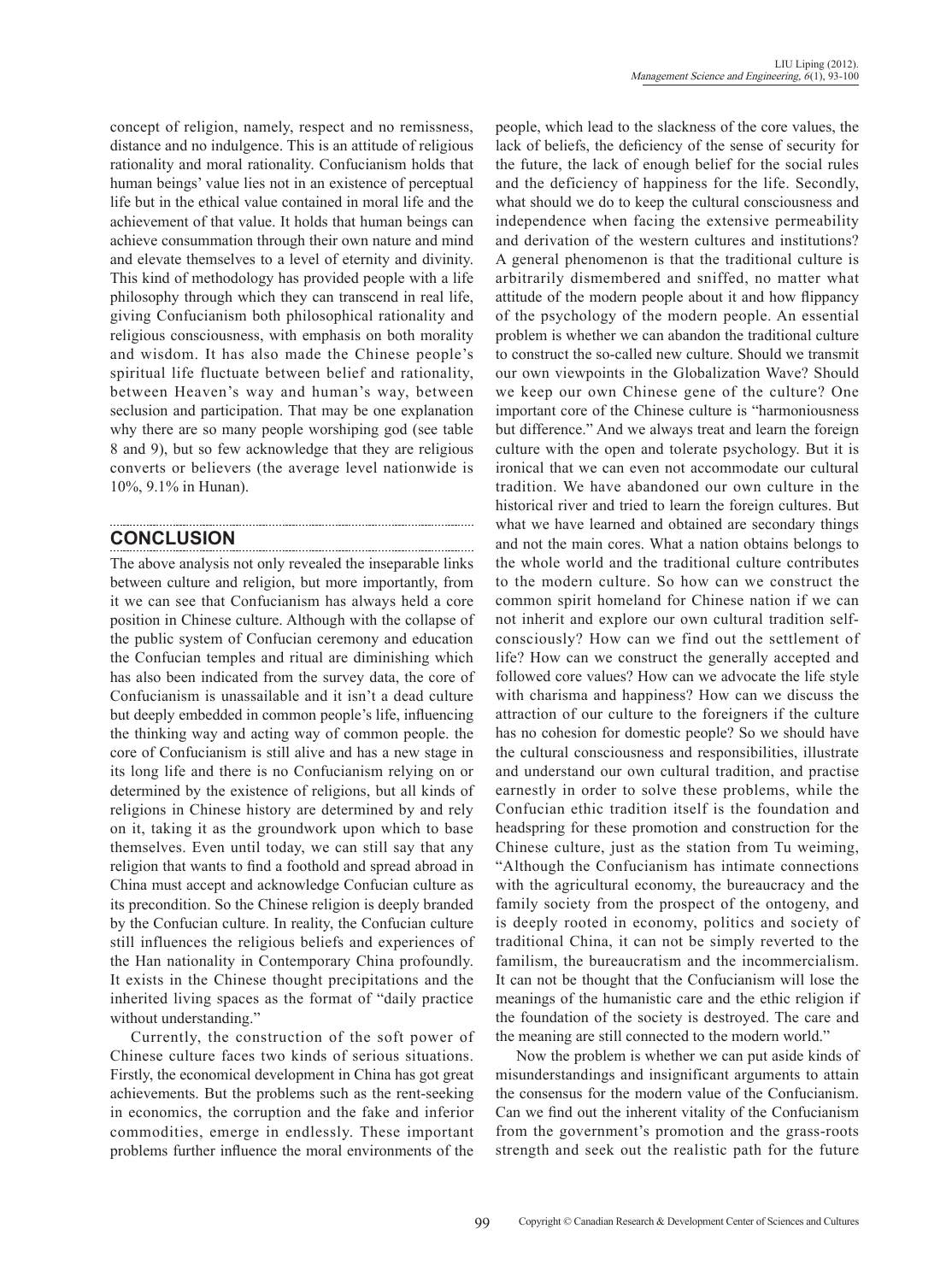concept of religion, namely, respect and no remissness, distance and no indulgence. This is an attitude of religious rationality and moral rationality. Confucianism holds that human beings' value lies not in an existence of perceptual life but in the ethical value contained in moral life and the achievement of that value. It holds that human beings can achieve consummation through their own nature and mind and elevate themselves to a level of eternity and divinity. This kind of methodology has provided people with a life philosophy through which they can transcend in real life, giving Confucianism both philosophical rationality and religious consciousness, with emphasis on both morality and wisdom. It has also made the Chinese people's spiritual life fluctuate between belief and rationality, between Heaven's way and human's way, between seclusion and participation. That may be one explanation why there are so many people worshiping god (see table 8 and 9), but so few acknowledge that they are religious converts or believers (the average level nationwide is 10%, 9.1% in Hunan).

# **Conclusion**

The above analysis not only revealed the inseparable links between culture and religion, but more importantly, from it we can see that Confucianism has always held a core position in Chinese culture. Although with the collapse of the public system of Confucian ceremony and education the Confucian temples and ritual are diminishing which has also been indicated from the survey data, the core of Confucianism is unassailable and it isn't a dead culture but deeply embedded in common people's life, influencing the thinking way and acting way of common people. the core of Confucianism is still alive and has a new stage in its long life and there is no Confucianism relying on or determined by the existence of religions, but all kinds of religions in Chinese history are determined by and rely on it, taking it as the groundwork upon which to base themselves. Even until today, we can still say that any religion that wants to find a foothold and spread abroad in China must accept and acknowledge Confucian culture as its precondition. So the Chinese religion is deeply branded by the Confucian culture. In reality, the Confucian culture still influences the religious beliefs and experiences of the Han nationality in Contemporary China profoundly. It exists in the Chinese thought precipitations and the inherited living spaces as the format of "daily practice without understanding."

Currently, the construction of the soft power of Chinese culture faces two kinds of serious situations. Firstly, the economical development in China has got great achievements. But the problems such as the rent-seeking in economics, the corruption and the fake and inferior commodities, emerge in endlessly. These important problems further influence the moral environments of the people, which lead to the slackness of the core values, the lack of beliefs, the deficiency of the sense of security for the future, the lack of enough belief for the social rules and the deficiency of happiness for the life. Secondly, what should we do to keep the cultural consciousness and independence when facing the extensive permeability and derivation of the western cultures and institutions? A general phenomenon is that the traditional culture is arbitrarily dismembered and sniffed, no matter what attitude of the modern people about it and how flippancy of the psychology of the modern people. An essential problem is whether we can abandon the traditional culture to construct the so-called new culture. Should we transmit our own viewpoints in the Globalization Wave? Should we keep our own Chinese gene of the culture? One important core of the Chinese culture is "harmoniousness but difference." And we always treat and learn the foreign culture with the open and tolerate psychology. But it is ironical that we can even not accommodate our cultural tradition. We have abandoned our own culture in the historical river and tried to learn the foreign cultures. But what we have learned and obtained are secondary things and not the main cores. What a nation obtains belongs to the whole world and the traditional culture contributes to the modern culture. So how can we construct the common spirit homeland for Chinese nation if we can not inherit and explore our own cultural tradition selfconsciously? How can we find out the settlement of life? How can we construct the generally accepted and followed core values? How can we advocate the life style with charisma and happiness? How can we discuss the attraction of our culture to the foreigners if the culture has no cohesion for domestic people? So we should have the cultural consciousness and responsibilities, illustrate and understand our own cultural tradition, and practise earnestly in order to solve these problems, while the Confucian ethic tradition itself is the foundation and headspring for these promotion and construction for the Chinese culture, just as the station from Tu weiming, "Although the Confucianism has intimate connections with the agricultural economy, the bureaucracy and the family society from the prospect of the ontogeny, and is deeply rooted in economy, politics and society of traditional China, it can not be simply reverted to the familism, the bureaucratism and the incommercialism. It can not be thought that the Confucianism will lose the meanings of the humanistic care and the ethic religion if the foundation of the society is destroyed. The care and the meaning are still connected to the modern world."

Now the problem is whether we can put aside kinds of misunderstandings and insignificant arguments to attain the consensus for the modern value of the Confucianism. Can we find out the inherent vitality of the Confucianism from the government's promotion and the grass-roots strength and seek out the realistic path for the future